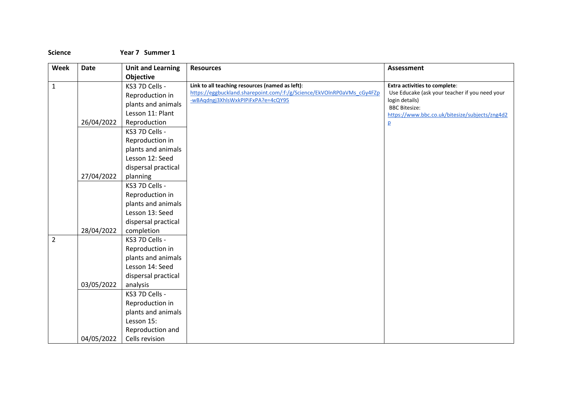**Science Year 7 Summer 1**

| Week           | Date       | <b>Unit and Learning</b> | <b>Resources</b>                                                       | <b>Assessment</b>                              |
|----------------|------------|--------------------------|------------------------------------------------------------------------|------------------------------------------------|
|                |            | Objective                |                                                                        |                                                |
| $\mathbf 1$    |            | KS3 7D Cells -           | Link to all teaching resources (named as left):                        | <b>Extra activities to complete:</b>           |
|                |            | Reproduction in          | https://eggbuckland.sharepoint.com/:f:/g/Science/EkVOlnRP0aVMs_cGy4FZp | Use Educake (ask your teacher if you need your |
|                |            | plants and animals       | -wBAqdngj3XhlsWxkPIPiFxPA?e=4cQY95                                     | login details)<br><b>BBC Bitesize:</b>         |
|                |            | Lesson 11: Plant         |                                                                        | https://www.bbc.co.uk/bitesize/subjects/zng4d2 |
|                | 26/04/2022 | Reproduction             |                                                                        | $\mathbf{p}$                                   |
|                |            | KS3 7D Cells -           |                                                                        |                                                |
|                |            | Reproduction in          |                                                                        |                                                |
|                |            | plants and animals       |                                                                        |                                                |
|                |            | Lesson 12: Seed          |                                                                        |                                                |
|                |            | dispersal practical      |                                                                        |                                                |
|                | 27/04/2022 | planning                 |                                                                        |                                                |
|                |            | KS3 7D Cells -           |                                                                        |                                                |
|                |            | Reproduction in          |                                                                        |                                                |
|                |            | plants and animals       |                                                                        |                                                |
|                |            | Lesson 13: Seed          |                                                                        |                                                |
|                |            | dispersal practical      |                                                                        |                                                |
|                | 28/04/2022 | completion               |                                                                        |                                                |
| $\overline{2}$ |            | KS3 7D Cells -           |                                                                        |                                                |
|                |            | Reproduction in          |                                                                        |                                                |
|                |            | plants and animals       |                                                                        |                                                |
|                |            | Lesson 14: Seed          |                                                                        |                                                |
|                |            | dispersal practical      |                                                                        |                                                |
|                | 03/05/2022 | analysis                 |                                                                        |                                                |
|                |            | KS3 7D Cells -           |                                                                        |                                                |
|                |            | Reproduction in          |                                                                        |                                                |
|                |            | plants and animals       |                                                                        |                                                |
|                |            | Lesson 15:               |                                                                        |                                                |
|                |            | Reproduction and         |                                                                        |                                                |
|                | 04/05/2022 | Cells revision           |                                                                        |                                                |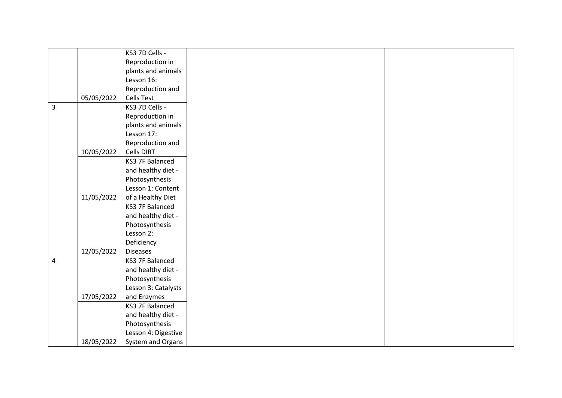|                |            | KS3 7D Cells -         |
|----------------|------------|------------------------|
|                |            | Reproduction in        |
|                |            | plants and animals     |
|                |            | Lesson 16:             |
|                |            |                        |
|                |            | Reproduction and       |
|                | 05/05/2022 | <b>Cells Test</b>      |
| $\overline{3}$ |            | KS3 7D Cells -         |
|                |            | Reproduction in        |
|                |            | plants and animals     |
|                |            | Lesson 17:             |
|                |            | Reproduction and       |
|                | 10/05/2022 | Cells DIRT             |
|                |            | KS3 7F Balanced        |
|                |            | and healthy diet -     |
|                |            | Photosynthesis         |
|                |            | Lesson 1: Content      |
|                | 11/05/2022 | of a Healthy Diet      |
|                |            | <b>KS3 7F Balanced</b> |
|                |            | and healthy diet -     |
|                |            | Photosynthesis         |
|                |            | Lesson 2:              |
|                |            | Deficiency             |
|                | 12/05/2022 | <b>Diseases</b>        |
| $\overline{a}$ |            | KS3 7F Balanced        |
|                |            | and healthy diet -     |
|                |            | Photosynthesis         |
|                |            | Lesson 3: Catalysts    |
|                | 17/05/2022 | and Enzymes            |
|                |            | KS3 7F Balanced        |
|                |            | and healthy diet -     |
|                |            | Photosynthesis         |
|                |            | Lesson 4: Digestive    |
|                | 18/05/2022 | System and Organs      |
|                |            |                        |